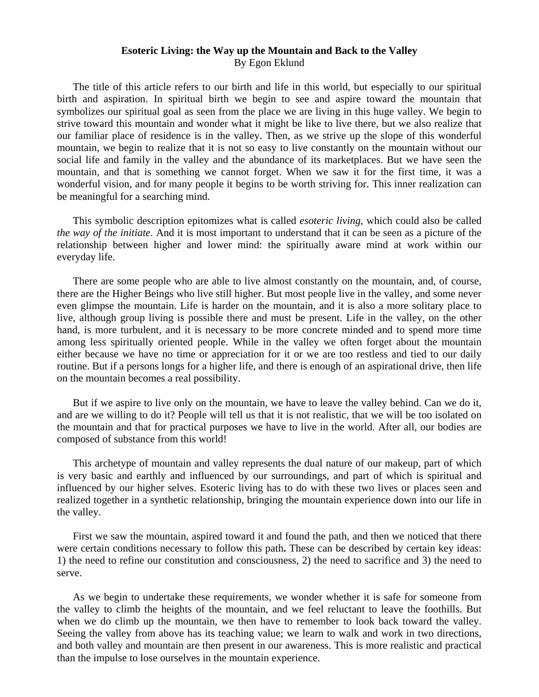## **Esoteric Living: the Way up the Mountain and Back to the Valley**  By Egon Eklund

 The title of this article refers to our birth and life in this world, but especially to our spiritual birth and aspiration. In spiritual birth we begin to see and aspire toward the mountain that symbolizes our spiritual goal as seen from the place we are living in this huge valley. We begin to strive toward this mountain and wonder what it might be like to live there, but we also realize that our familiar place of residence is in the valley. Then, as we strive up the slope of this wonderful mountain, we begin to realize that it is not so easy to live constantly on the mountain without our social life and family in the valley and the abundance of its marketplaces. But we have seen the mountain, and that is something we cannot forget. When we saw it for the first time, it was a wonderful vision, and for many people it begins to be worth striving for. This inner realization can be meaningful for a searching mind.

 This symbolic description epitomizes what is called *esoteric living*, which could also be called *the way of the initiate*. And it is most important to understand that it can be seen as a picture of the relationship between higher and lower mind: the spiritually aware mind at work within our everyday life.

 There are some people who are able to live almost constantly on the mountain, and, of course, there are the Higher Beings who live still higher. But most people live in the valley, and some never even glimpse the mountain. Life is harder on the mountain, and it is also a more solitary place to live, although group living is possible there and must be present. Life in the valley, on the other hand, is more turbulent, and it is necessary to be more concrete minded and to spend more time among less spiritually oriented people. While in the valley we often forget about the mountain either because we have no time or appreciation for it or we are too restless and tied to our daily routine. But if a persons longs for a higher life, and there is enough of an aspirational drive, then life on the mountain becomes a real possibility.

 But if we aspire to live only on the mountain, we have to leave the valley behind. Can we do it, and are we willing to do it? People will tell us that it is not realistic, that we will be too isolated on the mountain and that for practical purposes we have to live in the world. After all, our bodies are composed of substance from this world!

 This archetype of mountain and valley represents the dual nature of our makeup, part of which is very basic and earthly and influenced by our surroundings, and part of which is spiritual and influenced by our higher selves. Esoteric living has to do with these two lives or places seen and realized together in a synthetic relationship, bringing the mountain experience down into our life in the valley.

 First we saw the mountain, aspired toward it and found the path, and then we noticed that there were certain conditions necessary to follow this path**.** These can be described by certain key ideas: 1) the need to refine our constitution and consciousness, 2) the need to sacrifice and 3) the need to serve.

 As we begin to undertake these requirements, we wonder whether it is safe for someone from the valley to climb the heights of the mountain, and we feel reluctant to leave the foothills. But when we do climb up the mountain, we then have to remember to look back toward the valley. Seeing the valley from above has its teaching value; we learn to walk and work in two directions, and both valley and mountain are then present in our awareness. This is more realistic and practical than the impulse to lose ourselves in the mountain experience.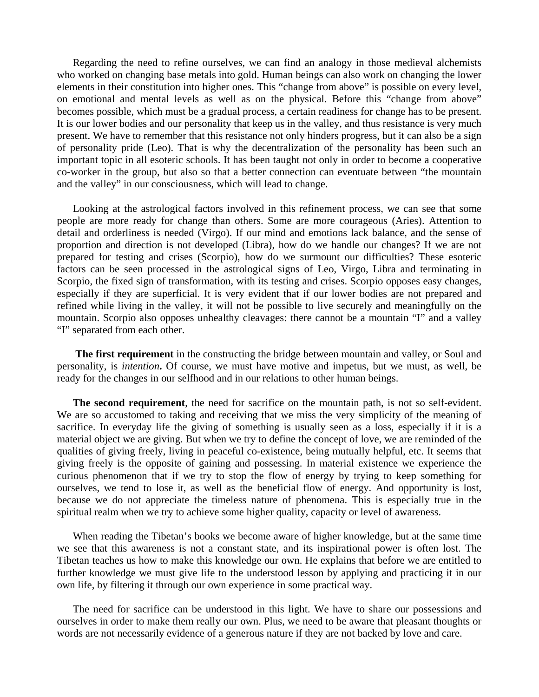Regarding the need to refine ourselves, we can find an analogy in those medieval alchemists who worked on changing base metals into gold. Human beings can also work on changing the lower elements in their constitution into higher ones. This "change from above" is possible on every level, on emotional and mental levels as well as on the physical. Before this "change from above" becomes possible, which must be a gradual process, a certain readiness for change has to be present. It is our lower bodies and our personality that keep us in the valley, and thus resistance is very much present. We have to remember that this resistance not only hinders progress, but it can also be a sign of personality pride (Leo). That is why the decentralization of the personality has been such an important topic in all esoteric schools. It has been taught not only in order to become a cooperative co-worker in the group, but also so that a better connection can eventuate between "the mountain and the valley" in our consciousness, which will lead to change.

 Looking at the astrological factors involved in this refinement process, we can see that some people are more ready for change than others. Some are more courageous (Aries). Attention to detail and orderliness is needed (Virgo). If our mind and emotions lack balance, and the sense of proportion and direction is not developed (Libra), how do we handle our changes? If we are not prepared for testing and crises (Scorpio), how do we surmount our difficulties? These esoteric factors can be seen processed in the astrological signs of Leo, Virgo, Libra and terminating in Scorpio, the fixed sign of transformation, with its testing and crises. Scorpio opposes easy changes, especially if they are superficial. It is very evident that if our lower bodies are not prepared and refined while living in the valley, it will not be possible to live securely and meaningfully on the mountain. Scorpio also opposes unhealthy cleavages: there cannot be a mountain "I" and a valley "I" separated from each other.

 **The first requirement** in the constructing the bridge between mountain and valley, or Soul and personality, is *intention***.** Of course, we must have motive and impetus, but we must, as well, be ready for the changes in our selfhood and in our relations to other human beings.

 **The second requirement**, the need for sacrifice on the mountain path, is not so self-evident. We are so accustomed to taking and receiving that we miss the very simplicity of the meaning of sacrifice. In everyday life the giving of something is usually seen as a loss, especially if it is a material object we are giving. But when we try to define the concept of love, we are reminded of the qualities of giving freely, living in peaceful co-existence, being mutually helpful, etc. It seems that giving freely is the opposite of gaining and possessing. In material existence we experience the curious phenomenon that if we try to stop the flow of energy by trying to keep something for ourselves, we tend to lose it, as well as the beneficial flow of energy. And opportunity is lost, because we do not appreciate the timeless nature of phenomena. This is especially true in the spiritual realm when we try to achieve some higher quality, capacity or level of awareness.

 When reading the Tibetan's books we become aware of higher knowledge, but at the same time we see that this awareness is not a constant state, and its inspirational power is often lost. The Tibetan teaches us how to make this knowledge our own. He explains that before we are entitled to further knowledge we must give life to the understood lesson by applying and practicing it in our own life, by filtering it through our own experience in some practical way.

 The need for sacrifice can be understood in this light. We have to share our possessions and ourselves in order to make them really our own. Plus, we need to be aware that pleasant thoughts or words are not necessarily evidence of a generous nature if they are not backed by love and care.